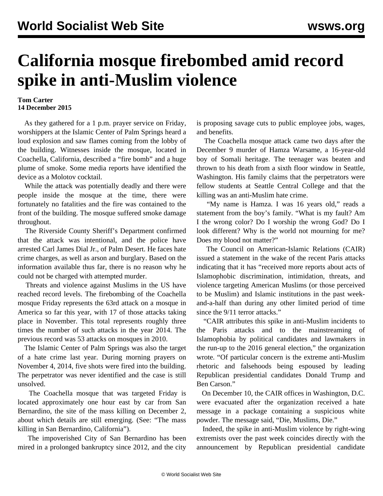## **California mosque firebombed amid record spike in anti-Muslim violence**

## **Tom Carter 14 December 2015**

 As they gathered for a 1 p.m. prayer service on Friday, worshippers at the Islamic Center of Palm Springs heard a loud explosion and saw flames coming from the lobby of the building. Witnesses inside the mosque, located in Coachella, California, described a "fire bomb" and a huge plume of smoke. Some media reports have identified the device as a Molotov cocktail.

 While the attack was potentially deadly and there were people inside the mosque at the time, there were fortunately no fatalities and the fire was contained to the front of the building. The mosque suffered smoke damage throughout.

 The Riverside County Sheriff's Department confirmed that the attack was intentional, and the police have arrested Carl James Dial Jr., of Palm Desert. He faces hate crime charges, as well as arson and burglary. Based on the information available thus far, there is no reason why he could not be charged with attempted murder.

 Threats and violence against Muslims in the US have reached record levels. The firebombing of the Coachella mosque Friday represents the 63rd attack on a mosque in America so far this year, with 17 of those attacks taking place in November. This total represents roughly three times the number of such attacks in the year 2014. The previous record was 53 attacks on mosques in 2010.

 The Islamic Center of Palm Springs was also the target of a hate crime last year. During morning prayers on November 4, 2014, five shots were fired into the building. The perpetrator was never identified and the case is still unsolved.

 The Coachella mosque that was targeted Friday is located approximately one hour east by car from San Bernardino, the site of the mass killing on December 2, about which details are still emerging. (See: "[The mass](/en/articles/2015/12/04/bern-d04.html) [killing in San Bernardino, California](/en/articles/2015/12/04/bern-d04.html)").

 The impoverished City of San Bernardino has been mired in a prolonged bankruptcy since 2012, and the city is proposing savage cuts to public employee jobs, wages, and benefits.

 The Coachella mosque attack came two days after the December 9 murder of Hamza Warsame, a 16-year-old boy of Somali heritage. The teenager was beaten and thrown to his death from a sixth floor window in Seattle, Washington. His family claims that the perpetrators were fellow students at Seattle Central College and that the killing was an anti-Muslim hate crime.

 "My name is Hamza. I was 16 years old," reads a statement from the boy's family. "What is my fault? Am I the wrong color? Do I worship the wrong God? Do I look different? Why is the world not mourning for me? Does my blood not matter?"

 The Council on American-Islamic Relations (CAIR) issued a statement in the wake of the recent Paris attacks indicating that it has "received more reports about acts of Islamophobic discrimination, intimidation, threats, and violence targeting American Muslims (or those perceived to be Muslim) and Islamic institutions in the past weekand-a-half than during any other limited period of time since the 9/11 terror attacks."

 "CAIR attributes this spike in anti-Muslim incidents to the Paris attacks and to the mainstreaming of Islamophobia by political candidates and lawmakers in the run-up to the 2016 general election," the organization wrote. "Of particular concern is the extreme anti-Muslim rhetoric and falsehoods being espoused by leading Republican presidential candidates Donald Trump and Ben Carson."

 On December 10, the CAIR offices in Washington, D.C. were evacuated after the organization received a hate message in a package containing a suspicious white powder. The message said, "Die, Muslims, Die."

 Indeed, the spike in anti-Muslim violence by right-wing extremists over the past week coincides directly with the announcement by Republican presidential candidate